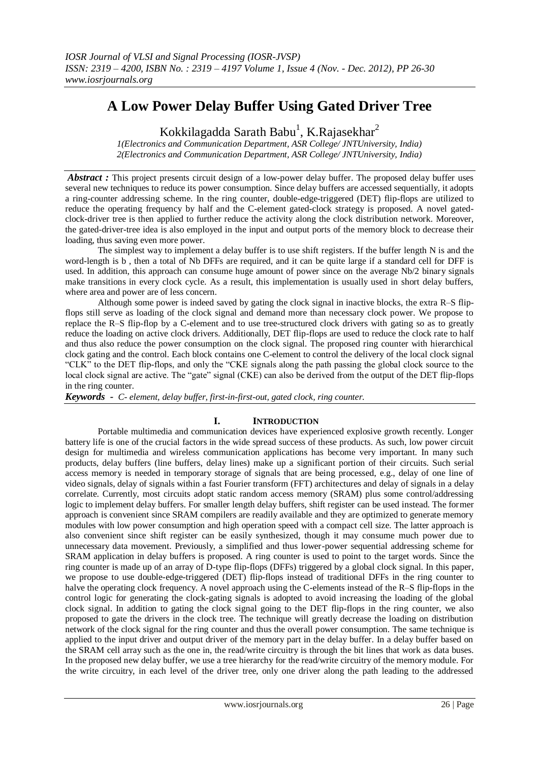# **A Low Power Delay Buffer Using Gated Driver Tree**

Kokkilagadda Sarath Babu<sup>1</sup>, K.Rajasekhar<sup>2</sup>

*1(Electronics and Communication Department, ASR College/ JNTUniversity, India) 2(Electronics and Communication Department, ASR College/ JNTUniversity, India)*

*Abstract*: This project presents circuit design of a low-power delay buffer. The proposed delay buffer uses several new techniques to reduce its power consumption. Since delay buffers are accessed sequentially, it adopts a ring-counter addressing scheme. In the ring counter, double-edge-triggered (DET) flip-flops are utilized to reduce the operating frequency by half and the C-element gated-clock strategy is proposed. A novel gatedclock-driver tree is then applied to further reduce the activity along the clock distribution network. Moreover, the gated-driver-tree idea is also employed in the input and output ports of the memory block to decrease their loading, thus saving even more power.

The simplest way to implement a delay buffer is to use shift registers. If the buffer length N is and the word-length is b , then a total of Nb DFFs are required, and it can be quite large if a standard cell for DFF is used. In addition, this approach can consume huge amount of power since on the average Nb/2 binary signals make transitions in every clock cycle. As a result, this implementation is usually used in short delay buffers, where area and power are of less concern.

Although some power is indeed saved by gating the clock signal in inactive blocks, the extra R–S flipflops still serve as loading of the clock signal and demand more than necessary clock power. We propose to replace the R–S flip-flop by a C-element and to use tree-structured clock drivers with gating so as to greatly reduce the loading on active clock drivers. Additionally, DET flip-flops are used to reduce the clock rate to half and thus also reduce the power consumption on the clock signal. The proposed ring counter with hierarchical clock gating and the control. Each block contains one C-element to control the delivery of the local clock signal "CLK" to the DET flip-flops, and only the "CKE signals along the path passing the global clock source to the local clock signal are active. The "gate" signal (CKE) can also be derived from the output of the DET flip-flops in the ring counter.

*Keywords - C- element, delay buffer, first-in-first-out, gated clock, ring counter.*

# **I. INTRODUCTION**

Portable multimedia and communication devices have experienced explosive growth recently. Longer battery life is one of the crucial factors in the wide spread success of these products. As such, low power circuit design for multimedia and wireless communication applications has become very important. In many such products, delay buffers (line buffers, delay lines) make up a significant portion of their circuits. Such serial access memory is needed in temporary storage of signals that are being processed, e.g., delay of one line of video signals, delay of signals within a fast Fourier transform (FFT) architectures and delay of signals in a delay correlate. Currently, most circuits adopt static random access memory (SRAM) plus some control/addressing logic to implement delay buffers. For smaller length delay buffers, shift register can be used instead. The former approach is convenient since SRAM compilers are readily available and they are optimized to generate memory modules with low power consumption and high operation speed with a compact cell size. The latter approach is also convenient since shift register can be easily synthesized, though it may consume much power due to unnecessary data movement. Previously, a simplified and thus lower-power sequential addressing scheme for SRAM application in delay buffers is proposed. A ring counter is used to point to the target words. Since the ring counter is made up of an array of D-type flip-flops (DFFs) triggered by a global clock signal. In this paper, we propose to use double-edge-triggered (DET) flip-flops instead of traditional DFFs in the ring counter to halve the operating clock frequency. A novel approach using the C-elements instead of the R–S flip-flops in the control logic for generating the clock-gating signals is adopted to avoid increasing the loading of the global clock signal. In addition to gating the clock signal going to the DET flip-flops in the ring counter, we also proposed to gate the drivers in the clock tree. The technique will greatly decrease the loading on distribution network of the clock signal for the ring counter and thus the overall power consumption. The same technique is applied to the input driver and output driver of the memory part in the delay buffer. In a delay buffer based on the SRAM cell array such as the one in, the read/write circuitry is through the bit lines that work as data buses. In the proposed new delay buffer, we use a tree hierarchy for the read/write circuitry of the memory module. For the write circuitry, in each level of the driver tree, only one driver along the path leading to the addressed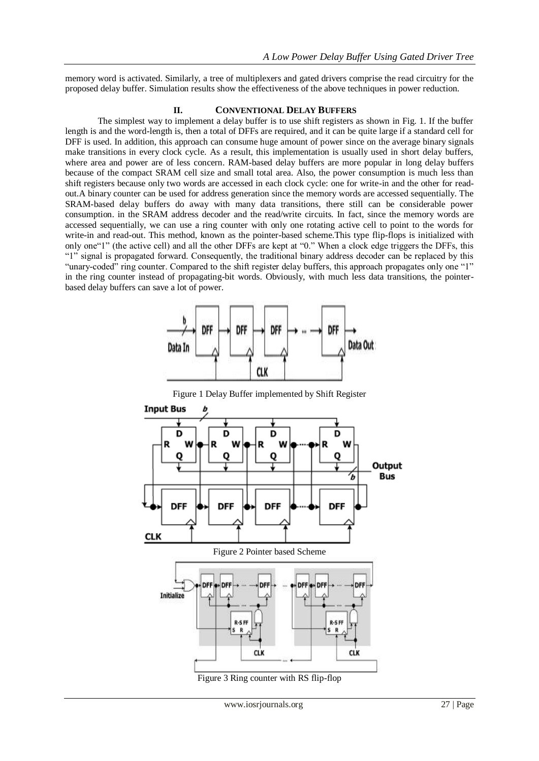memory word is activated. Similarly, a tree of multiplexers and gated drivers comprise the read circuitry for the proposed delay buffer. Simulation results show the effectiveness of the above techniques in power reduction.

### **II. CONVENTIONAL DELAY BUFFERS**

The simplest way to implement a delay buffer is to use shift registers as shown in Fig. 1. If the buffer length is and the word-length is, then a total of DFFs are required, and it can be quite large if a standard cell for DFF is used. In addition, this approach can consume huge amount of power since on the average binary signals make transitions in every clock cycle. As a result, this implementation is usually used in short delay buffers, where area and power are of less concern. RAM-based delay buffers are more popular in long delay buffers because of the compact SRAM cell size and small total area. Also, the power consumption is much less than shift registers because only two words are accessed in each clock cycle: one for write-in and the other for readout.A binary counter can be used for address generation since the memory words are accessed sequentially. The SRAM-based delay buffers do away with many data transitions, there still can be considerable power consumption. in the SRAM address decoder and the read/write circuits. In fact, since the memory words are accessed sequentially, we can use a ring counter with only one rotating active cell to point to the words for write-in and read-out. This method, known as the pointer-based scheme.This type flip-flops is initialized with only one"1" (the active cell) and all the other DFFs are kept at "0." When a clock edge triggers the DFFs, this "1" signal is propagated forward. Consequently, the traditional binary address decoder can be replaced by this "unary-coded" ring counter. Compared to the shift register delay buffers, this approach propagates only one "1" in the ring counter instead of propagating-bit words. Obviously, with much less data transitions, the pointerbased delay buffers can save a lot of power.



Figure 1 Delay Buffer implemented by Shift Register



Figure 3 Ring counter with RS flip-flop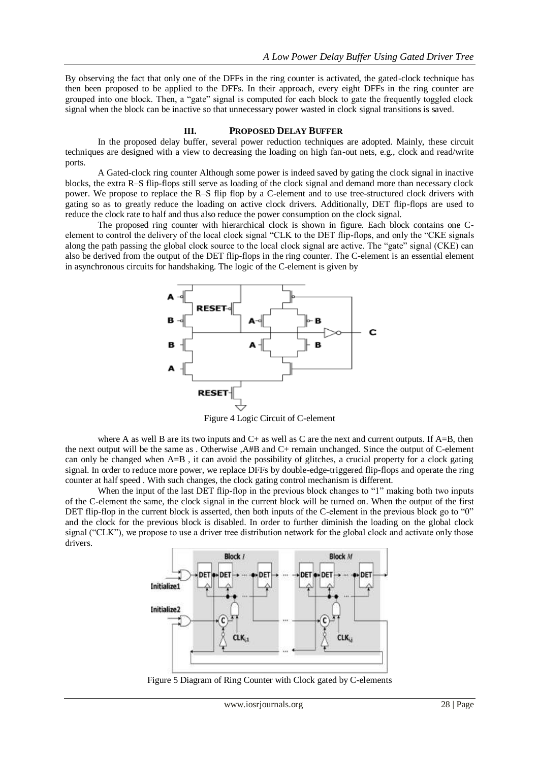By observing the fact that only one of the DFFs in the ring counter is activated, the gated-clock technique has then been proposed to be applied to the DFFs. In their approach, every eight DFFs in the ring counter are grouped into one block. Then, a "gate" signal is computed for each block to gate the frequently toggled clock signal when the block can be inactive so that unnecessary power wasted in clock signal transitions is saved.

#### **III. PROPOSED DELAY BUFFER**

In the proposed delay buffer, several power reduction techniques are adopted. Mainly, these circuit techniques are designed with a view to decreasing the loading on high fan-out nets, e.g., clock and read/write ports.

A Gated-clock ring counter Although some power is indeed saved by gating the clock signal in inactive blocks, the extra R–S flip-flops still serve as loading of the clock signal and demand more than necessary clock power. We propose to replace the R–S flip flop by a C-element and to use tree-structured clock drivers with gating so as to greatly reduce the loading on active clock drivers. Additionally, DET flip-flops are used to reduce the clock rate to half and thus also reduce the power consumption on the clock signal.

The proposed ring counter with hierarchical clock is shown in figure. Each block contains one Celement to control the delivery of the local clock signal "CLK to the DET flip-flops, and only the "CKE signals along the path passing the global clock source to the local clock signal are active. The "gate" signal (CKE) can also be derived from the output of the DET flip-flops in the ring counter. The C-element is an essential element in asynchronous circuits for handshaking. The logic of the C-element is given by



Figure 4 Logic Circuit of C-element

where A as well B are its two inputs and  $C<sub>+</sub>$  as well as C are the next and current outputs. If  $A=B$ , then the next output will be the same as . Otherwise ,A#B and C+ remain unchanged. Since the output of C-element can only be changed when A=B , it can avoid the possibility of glitches, a crucial property for a clock gating signal. In order to reduce more power, we replace DFFs by double-edge-triggered flip-flops and operate the ring counter at half speed . With such changes, the clock gating control mechanism is different.

When the input of the last DET flip-flop in the previous block changes to "1" making both two inputs of the C-element the same, the clock signal in the current block will be turned on. When the output of the first DET flip-flop in the current block is asserted, then both inputs of the C-element in the previous block go to "0" and the clock for the previous block is disabled. In order to further diminish the loading on the global clock signal ("CLK"), we propose to use a driver tree distribution network for the global clock and activate only those drivers.



Figure 5 Diagram of Ring Counter with Clock gated by C-elements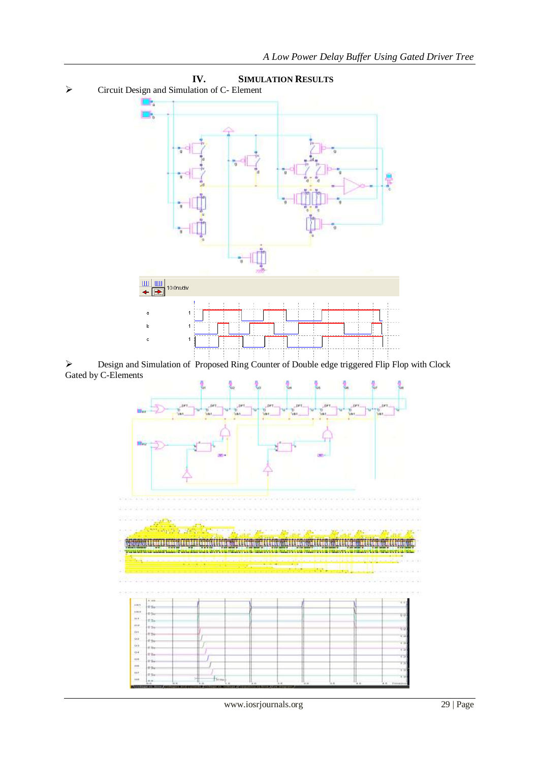

 Design and Simulation of Proposed Ring Counter of Double edge triggered Flip Flop with Clock Gated by C-Elements



www.iosrjournals.org 29 | Page